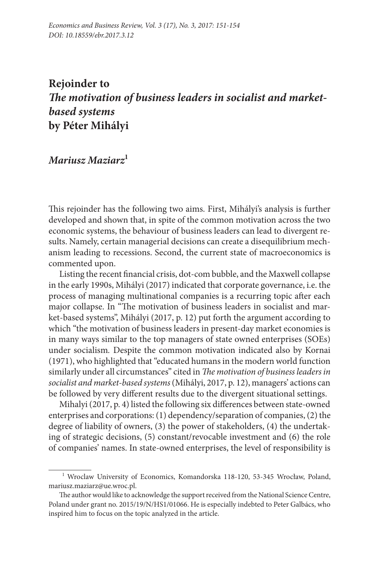## **Rejoinder to** *The motivation of business leaders in socialist and marketbased systems* **by Péter Mihályi**

## *Mariusz Maziarz***<sup>1</sup>**

This rejoinder has the following two aims. First, Mihályi's analysis is further developed and shown that, in spite of the common motivation across the two economic systems, the behaviour of business leaders can lead to divergent results. Namely, certain managerial decisions can create a disequilibrium mechanism leading to recessions. Second, the current state of macroeconomics is commented upon.

Listing the recent financial crisis, dot-com bubble, and the Maxwell collapse in the early 1990s, Mihályi (2017) indicated that corporate governance, i.e. the process of managing multinational companies is a recurring topic after each major collapse. In "The motivation of business leaders in socialist and market-based systems", Mihályi (2017, p. 12) put forth the argument according to which "the motivation of business leaders in present-day market economies is in many ways similar to the top managers of state owned enterprises (SOEs) under socialism*.* Despite the common motivation indicated also by Kornai (1971), who highlighted that "educated humans in the modern world function similarly under all circumstances" cited in *The motivation of business leaders in socialist and market-based systems* (Mihályi, 2017, p. 12), managers' actions can be followed by very different results due to the divergent situational settings.

Mihalyi (2017, p. 4) listed the following six differences between state-owned enterprises and corporations: (1) dependency/separation of companies, (2) the degree of liability of owners, (3) the power of stakeholders, (4) the undertaking of strategic decisions, (5) constant/revocable investment and (6) the role of companies' names. In state-owned enterprises, the level of responsibility is

<sup>&</sup>lt;sup>1</sup> Wroclaw University of Economics, Komandorska 118-120, 53-345 Wrocław, Poland, [mariusz.maziarz@ue.wroc.pl.](mailto:mariusz.maziarz@ue.wroc.pl)

The author would like to acknowledge the support received from the National Science Centre, Poland under grant no. 2015/19/N/HS1/01066. He is especially indebted to Peter Galbács, who inspired him to focus on the topic analyzed in the article.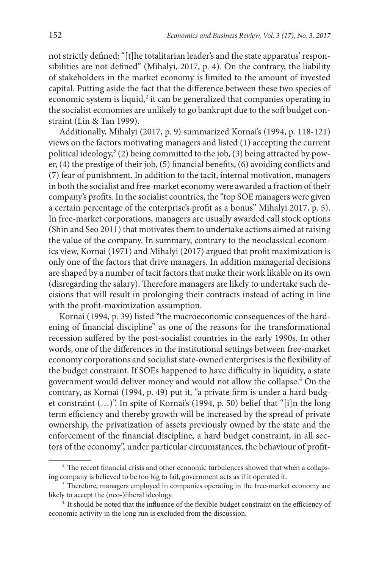not strictly defined: "[t]he totalitarian leader's and the state apparatus' responsibilities are not defined" (Mihalyi, 2017, p. 4). On the contrary, the liability of stakeholders in the market economy is limited to the amount of invested capital. Putting aside the fact that the difference between these two species of economic system is liquid, $2$  it can be generalized that companies operating in the socialist economies are unlikely to go bankrupt due to the soft budget constraint (Lin & Tan 1999).

Additionally, Mihalyi (2017, p. 9) summarized Kornai's (1994, p. 118-121) views on the factors motivating managers and listed (1) accepting the current political ideology, $3$  (2) being committed to the job, (3) being attracted by power, (4) the prestige of their job, (5) financial benefits, (6) avoiding conflicts and (7) fear of punishment. In addition to the tacit, internal motivation, managers in both the socialist and free-market economy were awarded a fraction of their company's profits. In the socialist countries, the "top SOE managers were given a certain percentage of the enterprise's profit as a bonus" Mihalyi 2017, p. 5). In free-market corporations, managers are usually awarded call stock options (Shin and Seo 2011) that motivates them to undertake actions aimed at raising the value of the company. In summary, contrary to the neoclassical economics view, Kornai (1971) and Mihalyi (2017) argued that profit maximization is only one of the factors that drive managers. In addition managerial decisions are shaped by a number of tacit factors that make their work likable on its own (disregarding the salary). Therefore managers are likely to undertake such decisions that will result in prolonging their contracts instead of acting in line with the profit-maximization assumption.

Kornai (1994, p. 39) listed "the macroeconomic consequences of the hardening of financial discipline" as one of the reasons for the transformational recession suffered by the post-socialist countries in the early 1990s. In other words, one of the differences in the institutional settings between free-market economy corporations and socialist state-owned enterprises is the flexibility of the budget constraint. If SOEs happened to have difficulty in liquidity, a state government would deliver money and would not allow the collapse.<sup>4</sup> On the contrary, as Kornai (1994, p. 49) put it, "a private firm is under a hard budget constraint (…)". In spite of Kornai's (1994, p. 50) belief that "[i]n the long term efficiency and thereby growth will be increased by the spread of private ownership, the privatization of assets previously owned by the state and the enforcement of the financial discipline, a hard budget constraint, in all sectors of the economy", under particular circumstances, the behaviour of profit-

 $2$  The recent financial crisis and other economic turbulences showed that when a collapsing company is believed to be too big to fail, government acts as if it operated it.

<sup>&</sup>lt;sup>3</sup> Therefore, managers employed in companies operating in the free-market economy are likely to accept the (neo-)liberal ideology.

<sup>&</sup>lt;sup>4</sup> It should be noted that the influence of the flexible budget constraint on the efficiency of economic activity in the long run is excluded from the discussion.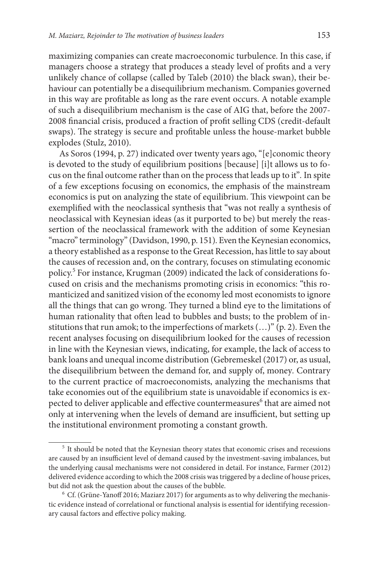maximizing companies can create macroeconomic turbulence. In this case, if managers choose a strategy that produces a steady level of profits and a very unlikely chance of collapse (called by Taleb (2010) the black swan), their behaviour can potentially be a disequilibrium mechanism. Companies governed in this way are profitable as long as the rare event occurs. A notable example of such a disequilibrium mechanism is the case of AIG that, before the 2007- 2008 financial crisis, produced a fraction of profit selling CDS (credit-default swaps). The strategy is secure and profitable unless the house-market bubble explodes (Stulz, 2010).

As Soros (1994, p. 27) indicated over twenty years ago, "[e]conomic theory is devoted to the study of equilibrium positions [because] [i]t allows us to focus on the final outcome rather than on the process that leads up to it"*.* In spite of a few exceptions focusing on economics, the emphasis of the mainstream economics is put on analyzing the state of equilibrium. This viewpoint can be exemplified with the neoclassical synthesis that "was not really a synthesis of neoclassical with Keynesian ideas (as it purported to be) but merely the reassertion of the neoclassical framework with the addition of some Keynesian "macro" terminology" (Davidson, 1990, p. 151). Even the Keynesian economics, a theory established as a response to the Great Recession, has little to say about the causes of recession and, on the contrary, focuses on stimulating economic policy.5 For instance, Krugman (2009) indicated the lack of considerations focused on crisis and the mechanisms promoting crisis in economics: "this romanticized and sanitized vision of the economy led most economists to ignore all the things that can go wrong. They turned a blind eye to the limitations of human rationality that often lead to bubbles and busts; to the problem of institutions that run amok; to the imperfections of markets (…)" (p. 2). Even the recent analyses focusing on disequilibrium looked for the causes of recession in line with the Keynesian views, indicating, for example, the lack of access to bank loans and unequal income distribution (Gebremeskel (2017) or, as usual, the disequilibrium between the demand for, and supply of, money*.* Contrary to the current practice of macroeconomists, analyzing the mechanisms that take economies out of the equilibrium state is unavoidable if economics is expected to deliver applicable and effective countermeasures<sup>6</sup> that are aimed not only at intervening when the levels of demand are insufficient, but setting up the institutional environment promoting a constant growth.

<sup>5</sup> It should be noted that the Keynesian theory states that economic crises and recessions are caused by an insufficient level of demand caused by the investment-saving imbalances, but the underlying causal mechanisms were not considered in detail. For instance, Farmer (2012) delivered evidence according to which the 2008 crisis was triggered by a decline of house prices, but did not ask the question about the causes of the bubble.

 $6$  Cf. (Grüne-Yanoff 2016; Maziarz 2017) for arguments as to why delivering the mechanistic evidence instead of correlational or functional analysis is essential for identifying recessionary causal factors and effective policy making.